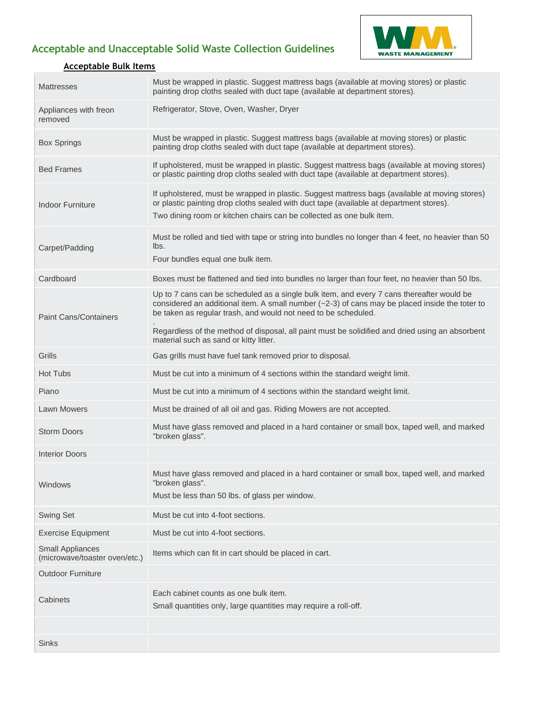## **Acceptable and Unacceptable Solid Waste Collection Guidelines**



## **Acceptable Bulk Items**

| <b>Mattresses</b>                                        | Must be wrapped in plastic. Suggest mattress bags (available at moving stores) or plastic<br>painting drop cloths sealed with duct tape (available at department stores).                                                                                         |
|----------------------------------------------------------|-------------------------------------------------------------------------------------------------------------------------------------------------------------------------------------------------------------------------------------------------------------------|
| Appliances with freon<br>removed                         | Refrigerator, Stove, Oven, Washer, Dryer                                                                                                                                                                                                                          |
| <b>Box Springs</b>                                       | Must be wrapped in plastic. Suggest mattress bags (available at moving stores) or plastic<br>painting drop cloths sealed with duct tape (available at department stores).                                                                                         |
| <b>Bed Frames</b>                                        | If upholstered, must be wrapped in plastic. Suggest mattress bags (available at moving stores)<br>or plastic painting drop cloths sealed with duct tape (available at department stores).                                                                         |
| <b>Indoor Furniture</b>                                  | If upholstered, must be wrapped in plastic. Suggest mattress bags (available at moving stores)<br>or plastic painting drop cloths sealed with duct tape (available at department stores).<br>Two dining room or kitchen chairs can be collected as one bulk item. |
| Carpet/Padding                                           | Must be rolled and tied with tape or string into bundles no longer than 4 feet, no heavier than 50<br>lbs.<br>Four bundles equal one bulk item.                                                                                                                   |
| Cardboard                                                | Boxes must be flattened and tied into bundles no larger than four feet, no heavier than 50 lbs.                                                                                                                                                                   |
| <b>Paint Cans/Containers</b>                             | Up to 7 cans can be scheduled as a single bulk item, and every 7 cans thereafter would be<br>considered an additional item. A small number $(-2-3)$ of cans may be placed inside the toter to<br>be taken as regular trash, and would not need to be scheduled.   |
|                                                          | Regardless of the method of disposal, all paint must be solidified and dried using an absorbent<br>material such as sand or kitty litter.                                                                                                                         |
| Grills                                                   | Gas grills must have fuel tank removed prior to disposal.                                                                                                                                                                                                         |
| <b>Hot Tubs</b>                                          | Must be cut into a minimum of 4 sections within the standard weight limit.                                                                                                                                                                                        |
| Piano                                                    | Must be cut into a minimum of 4 sections within the standard weight limit.                                                                                                                                                                                        |
| <b>Lawn Mowers</b>                                       | Must be drained of all oil and gas. Riding Mowers are not accepted.                                                                                                                                                                                               |
| <b>Storm Doors</b>                                       | Must have glass removed and placed in a hard container or small box, taped well, and marked<br>"broken glass".                                                                                                                                                    |
| <b>Interior Doors</b>                                    |                                                                                                                                                                                                                                                                   |
| Windows                                                  | Must have glass removed and placed in a hard container or small box, taped well, and marked<br>"broken glass".<br>Must be less than 50 lbs. of glass per window.                                                                                                  |
| <b>Swing Set</b>                                         | Must be cut into 4-foot sections.                                                                                                                                                                                                                                 |
| <b>Exercise Equipment</b>                                | Must be cut into 4-foot sections.                                                                                                                                                                                                                                 |
| <b>Small Appliances</b><br>(microwave/toaster oven/etc.) | Items which can fit in cart should be placed in cart.                                                                                                                                                                                                             |
| <b>Outdoor Furniture</b>                                 |                                                                                                                                                                                                                                                                   |
| Cabinets                                                 | Each cabinet counts as one bulk item.<br>Small quantities only, large quantities may require a roll-off.                                                                                                                                                          |
|                                                          |                                                                                                                                                                                                                                                                   |
| <b>Sinks</b>                                             |                                                                                                                                                                                                                                                                   |